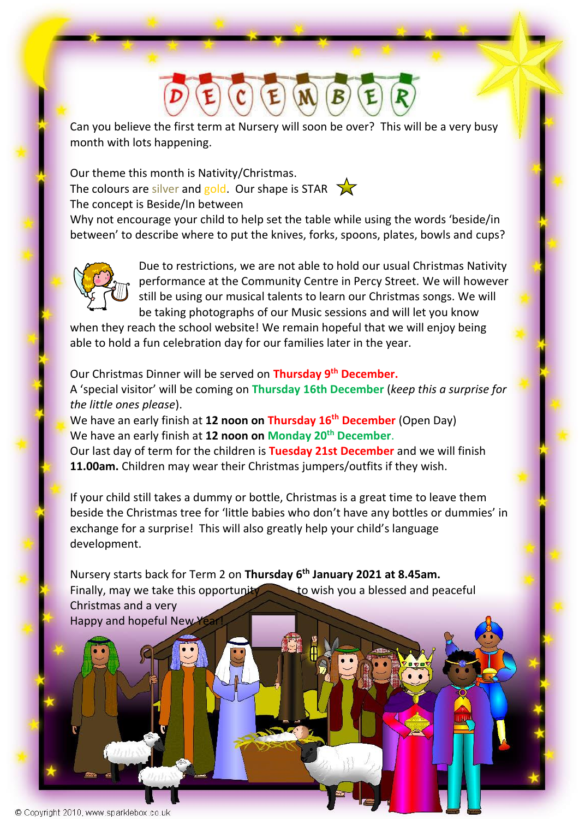Can you believe the first term at Nursery will soon be over? This will be a very busy month with lots happening.

Our theme this month is Nativity/Christmas. The colours are silver and gold. Our shape is STAR  $\sum$ The concept is Beside/In between

Why not encourage your child to help set the table while using the words 'beside/in between' to describe where to put the knives, forks, spoons, plates, bowls and cups?



Due to restrictions, we are not able to hold our usual Christmas Nativity performance at the Community Centre in Percy Street. We will however still be using our musical talents to learn our Christmas songs. We will be taking photographs of our Music sessions and will let you know

when they reach the school website! We remain hopeful that we will enjoy being able to hold a fun celebration day for our families later in the year.

Our Christmas Dinner will be served on **Thursday 9th December.** A 'special visitor' will be coming on **Thursday 16th December** (*keep this a surprise for the little ones please*).

We have an early finish at **12 noon on Thursday 16th December** (Open Day) We have an early finish at **12 noon on Monday 20th December**.

Our last day of term for the children is **Tuesday 21st December** and we will finish **11.00am.** Children may wear their Christmas jumpers/outfits if they wish.

If your child still takes a dummy or bottle, Christmas is a great time to leave them beside the Christmas tree for 'little babies who don't have any bottles or dummies' in exchange for a surprise! This will also greatly help your child's language development.

Nursery starts back for Term 2 on **Thursday 6 th January 2021 at 8.45am.** Finally, may we take this opportunity to wish you a blessed and peaceful Christmas and a very Happy and hopeful New Year